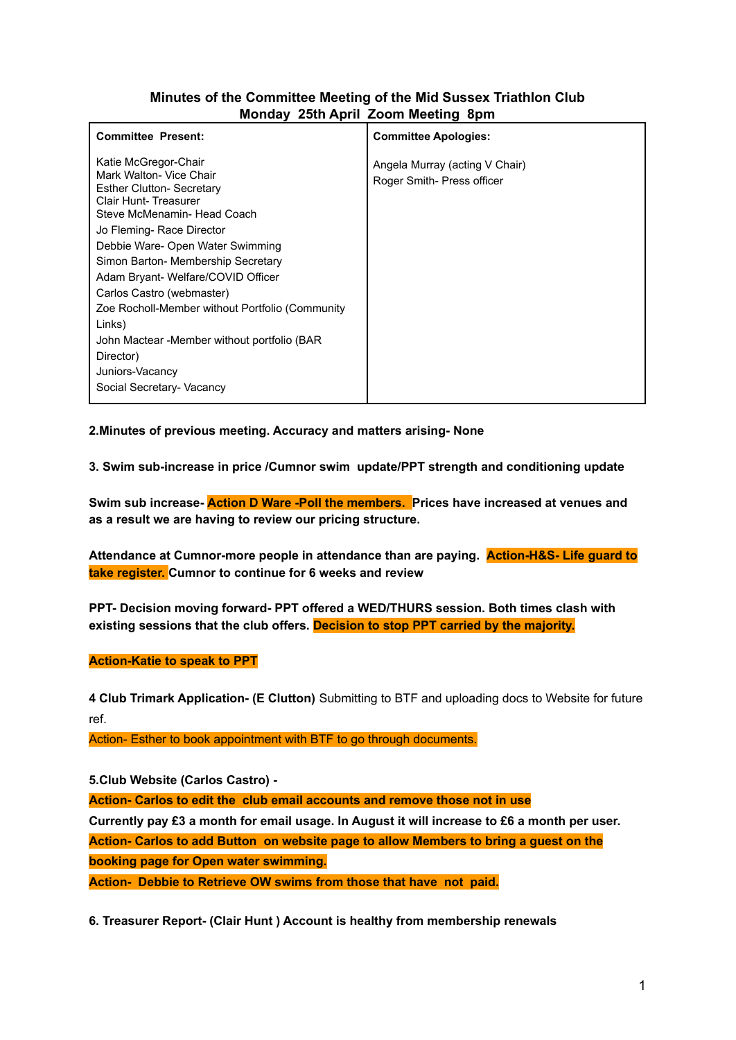# **Minutes of the Committee Meeting of the Mid Sussex Triathlon Club Monday 25th April Zoom Meeting 8pm**

| <b>Committee Present:</b>                                                                                                                                                                                                                                                                                                                                                                                                        | <b>Committee Apologies:</b>                                  |
|----------------------------------------------------------------------------------------------------------------------------------------------------------------------------------------------------------------------------------------------------------------------------------------------------------------------------------------------------------------------------------------------------------------------------------|--------------------------------------------------------------|
| Katie McGregor-Chair<br>Mark Walton- Vice Chair<br><b>Esther Clutton- Secretary</b><br>Clair Hunt-Treasurer<br>Steve McMenamin- Head Coach<br>Jo Fleming- Race Director<br>Debbie Ware- Open Water Swimming<br>Simon Barton- Membership Secretary<br>Adam Bryant- Welfare/COVID Officer<br>Carlos Castro (webmaster)<br>Zoe Rocholl-Member without Portfolio (Community<br>Links)<br>John Mactear -Member without portfolio (BAR | Angela Murray (acting V Chair)<br>Roger Smith- Press officer |
| Director)                                                                                                                                                                                                                                                                                                                                                                                                                        |                                                              |
| Juniors-Vacancy                                                                                                                                                                                                                                                                                                                                                                                                                  |                                                              |
| Social Secretary- Vacancy                                                                                                                                                                                                                                                                                                                                                                                                        |                                                              |

**2.Minutes of previous meeting. Accuracy and matters arising- None**

**3. Swim sub-increase in price /Cumnor swim update/PPT strength and conditioning update**

**Swim sub increase- Action D Ware -Poll the members. Prices have increased at venues and as a result we are having to review our pricing structure.**

**Attendance at Cumnor-more people in attendance than are paying. Action-H&S- Life guard to take register. Cumnor to continue for 6 weeks and review**

**PPT- Decision moving forward- PPT offered a WED/THURS session. Both times clash with existing sessions that the club offers. Decision to stop PPT carried by the majority.**

## **Action-Katie to speak to PPT**

**4 Club Trimark Application- (E Clutton)** Submitting to BTF and uploading docs to Website for future ref.

Action- Esther to book appointment with BTF to go through documents.

**5.Club Website (Carlos Castro) -**

**Action- Carlos to edit the club email accounts and remove those not in use**

Currently pay £3 a month for email usage. In August it will increase to £6 a month per user. **Action- Carlos to add Button on website page to allow Members to bring a guest on the booking page for Open water swimming.**

**Action- Debbie to Retrieve OW swims from those that have not paid.**

**6. Treasurer Report- (Clair Hunt ) Account is healthy from membership renewals**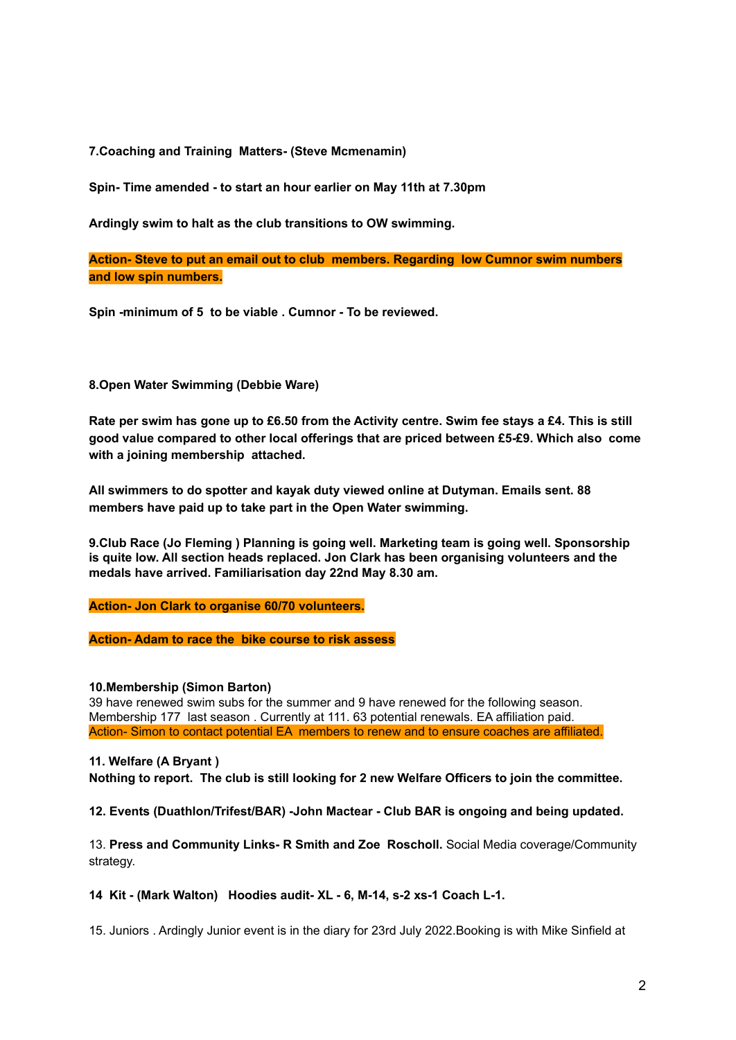**7.Coaching and Training Matters- (Steve Mcmenamin)**

**Spin- Time amended - to start an hour earlier on May 11th at 7.30pm**

**Ardingly swim to halt as the club transitions to OW swimming.**

**Action- Steve to put an email out to club members. Regarding low Cumnor swim numbers and low spin numbers.**

**Spin -minimum of 5 to be viable . Cumnor - To be reviewed.**

### **8.Open Water Swimming (Debbie Ware)**

Rate per swim has gone up to £6.50 from the Activity centre. Swim fee stays a £4. This is still **good value compared to other local offerings that are priced between £5-£9. Which also come with a joining membership attached.**

**All swimmers to do spotter and kayak duty viewed online at Dutyman. Emails sent. 88 members have paid up to take part in the Open Water swimming.**

**9.Club Race (Jo Fleming ) Planning is going well. Marketing team is going well. Sponsorship is quite low. All section heads replaced. Jon Clark has been organising volunteers and the medals have arrived. Familiarisation day 22nd May 8.30 am.**

**Action- Jon Clark to organise 60/70 volunteers.**

**Action- Adam to race the bike course to risk assess**

#### **10.Membership (Simon Barton)**

39 have renewed swim subs for the summer and 9 have renewed for the following season. Membership 177 last season . Currently at 111. 63 potential renewals. EA affiliation paid. Action- Simon to contact potential EA members to renew and to ensure coaches are affiliated.

## **11. Welfare (A Bryant )**

**Nothing to report. The club is still looking for 2 new Welfare Officers to join the committee.**

**12. Events (Duathlon/Trifest/BAR) -John Mactear - Club BAR is ongoing and being updated.**

13. **Press and Community Links- R Smith and Zoe Roscholl.** Social Media coverage/Community strategy.

#### **14 Kit - (Mark Walton) Hoodies audit- XL - 6, M-14, s-2 xs-1 Coach L-1.**

15. Juniors . Ardingly Junior event is in the diary for 23rd July 2022.Booking is with Mike Sinfield at